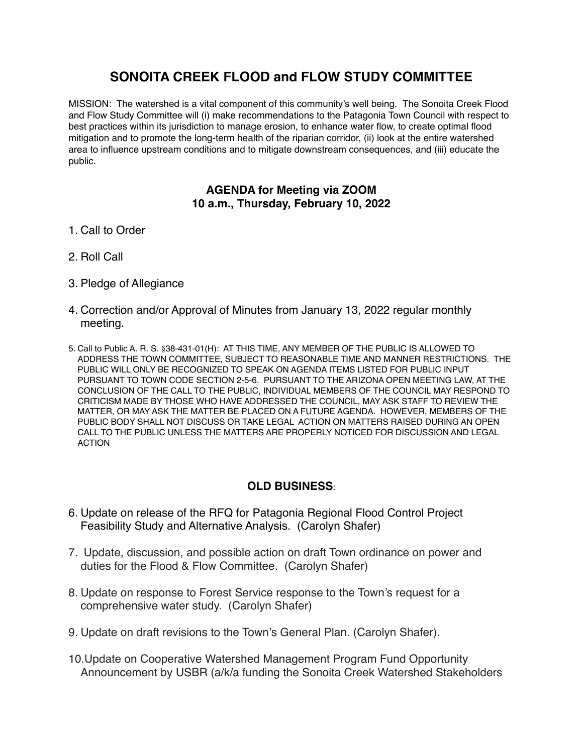## **SONOITA CREEK FLOOD and FLOW STUDY COMMITTEE**

MISSION: The watershed is a vital component of this community's well being. The Sonoita Creek Flood and Flow Study Committee will (i) make recommendations to the Patagonia Town Council with respect to best practices within its jurisdiction to manage erosion, to enhance water flow, to create optimal flood mitigation and to promote the long-term health of the riparian corridor, (ii) look at the entire watershed area to influence upstream conditions and to mitigate downstream consequences, and (iii) educate the public.

## **AGENDA for Meeting via ZOOM 10 a.m., Thursday, February 10, 2022**

- 1. Call to Order
- 2. Roll Call
- 3. Pledge of Allegiance
- 4. Correction and/or Approval of Minutes from January 13, 2022 regular monthly meeting.
- 5. Call to Public A. R. S. §38-431-01(H): AT THIS TIME, ANY MEMBER OF THE PUBLIC IS ALLOWED TO ADDRESS THE TOWN COMMITTEE, SUBJECT TO REASONABLE TIME AND MANNER RESTRICTIONS. THE PUBLIC WILL ONLY BE RECOGNIZED TO SPEAK ON AGENDA ITEMS LISTED FOR PUBLIC INPUT PURSUANT TO TOWN CODE SECTION 2-5-6. PURSUANT TO THE ARIZONA OPEN MEETING LAW, AT THE CONCLUSION OF THE CALL TO THE PUBLIC, INDIVIDUAL MEMBERS OF THE COUNCIL MAY RESPOND TO CRITICISM MADE BY THOSE WHO HAVE ADDRESSED THE COUNCIL, MAY ASK STAFF TO REVIEW THE MATTER, OR MAY ASK THE MATTER BE PLACED ON A FUTURE AGENDA. HOWEVER, MEMBERS OF THE PUBLIC BODY SHALL NOT DISCUSS OR TAKE LEGAL ACTION ON MATTERS RAISED DURING AN OPEN CALL TO THE PUBLIC UNLESS THE MATTERS ARE PROPERLY NOTICED FOR DISCUSSION AND LEGAL ACTION

## **OLD BUSINESS**:

- 6. Update on release of the RFQ for Patagonia Regional Flood Control Project Feasibility Study and Alternative Analysis. (Carolyn Shafer)
- 7. Update, discussion, and possible action on draft Town ordinance on power and duties for the Flood & Flow Committee. (Carolyn Shafer)
- 8. Update on response to Forest Service response to the Town's request for a comprehensive water study. (Carolyn Shafer)
- 9. Update on draft revisions to the Town's General Plan. (Carolyn Shafer).
- 10.Update on Cooperative Watershed Management Program Fund Opportunity Announcement by USBR (a/k/a funding the Sonoita Creek Watershed Stakeholders